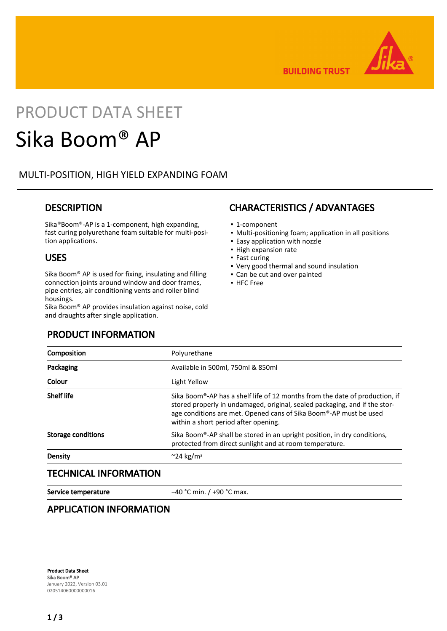

**BUILDING TRUST** 

# PRODUCT DATA SHEET

# Sika Boom® AP

## MULTI-POSITION, HIGH YIELD EXPANDING FOAM

## **DESCRIPTION**

Sika®Boom®-AP is a 1-component, high expanding, fast curing polyurethane foam suitable for multi-position applications.

### USES

Sika Boom® AP is used for fixing, insulating and filling connection joints around window and door frames, pipe entries, air conditioning vents and roller blind housings.

Sika Boom® AP provides insulation against noise, cold and draughts after single application.

## PRODUCT INFORMATION

## CHARACTERISTICS / ADVANTAGES

- 1-component
- Multi-positioning foam; application in all positions
- Easy application with nozzle
- High expansion rate
- Fast curing
- Very good thermal and sound insulation
- Can be cut and over painted
- HFC Free

| Composition                  | Polyurethane                                                                                                                                                                                                                                                           |  |
|------------------------------|------------------------------------------------------------------------------------------------------------------------------------------------------------------------------------------------------------------------------------------------------------------------|--|
| Packaging                    | Available in 500ml, 750ml & 850ml                                                                                                                                                                                                                                      |  |
| Colour                       | Light Yellow                                                                                                                                                                                                                                                           |  |
| <b>Shelf life</b>            | Sika Boom®-AP has a shelf life of 12 months from the date of production, if<br>stored properly in undamaged, original, sealed packaging, and if the stor-<br>age conditions are met. Opened cans of Sika Boom®-AP must be used<br>within a short period after opening. |  |
| <b>Storage conditions</b>    | Sika Boom®-AP shall be stored in an upright position, in dry conditions,<br>protected from direct sunlight and at room temperature.                                                                                                                                    |  |
| Density                      | $\approx$ 24 kg/m <sup>3</sup>                                                                                                                                                                                                                                         |  |
| <b>TECHNICAL INFORMATION</b> |                                                                                                                                                                                                                                                                        |  |

Service temperature −40 °C min. / +90 °C max.

## APPLICATION INFORMATION

Product Data Sheet Sika Boom® AP January 2022, Version 03.01 020514060000000016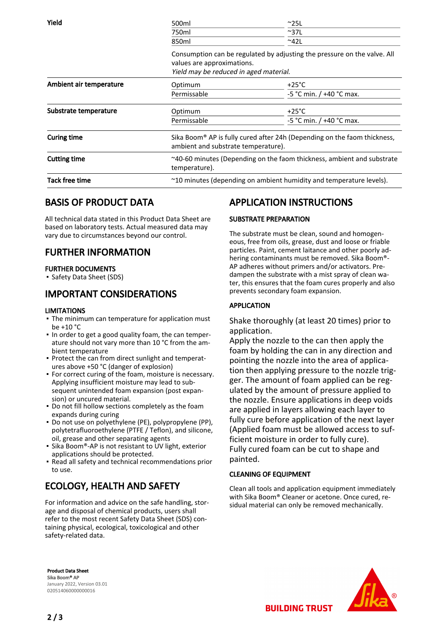| Yield                   | 500ml                                                                                                                                            | $^{\sim}$ 25L                |  |
|-------------------------|--------------------------------------------------------------------------------------------------------------------------------------------------|------------------------------|--|
|                         | 750ml                                                                                                                                            | $~^{\sim}$ 37L               |  |
|                         | 850 <sub>ml</sub>                                                                                                                                | $~^{\sim}$ 42L               |  |
|                         | Consumption can be regulated by adjusting the pressure on the valve. All<br>values are approximations.<br>Yield may be reduced in aged material. |                              |  |
| Ambient air temperature | Optimum                                                                                                                                          | $+25^{\circ}$ C              |  |
|                         | Permissable                                                                                                                                      | $-5$ °C min. / $+40$ °C max. |  |
| Substrate temperature   | Optimum                                                                                                                                          | $+25^{\circ}$ C              |  |
|                         | Permissable                                                                                                                                      | -5 °C min. / +40 °C max.     |  |
| <b>Curing time</b>      | Sika Boom <sup>®</sup> AP is fully cured after 24h (Depending on the faom thickness,<br>ambient and substrate temperature).                      |                              |  |
| <b>Cutting time</b>     | $\sim$ 40-60 minutes (Depending on the faom thickness, ambient and substrate<br>temperature).                                                    |                              |  |
| <b>Tack free time</b>   | ~10 minutes (depending on ambient humidity and temperature levels).                                                                              |                              |  |

## BASIS OF PRODUCT DATA

All technical data stated in this Product Data Sheet are based on laboratory tests. Actual measured data may vary due to circumstances beyond our control.

# FURTHER INFORMATION

#### FURTHER DOCUMENTS

▪ Safety Data Sheet (SDS)

## IMPORTANT CONSIDERATIONS

#### LIMITATIONS

- **The minimum can temperature for application must**  $ha + 10 °C$
- In order to get a good quality foam, the can temperature should not vary more than 10 °C from the ambient temperature
- Protect the can from direct sunlight and temperatures above +50 °C (danger of explosion)
- **For correct curing of the foam, moisture is necessary.** Applying insufficient moisture may lead to subsequent unintended foam expansion (post expansion) or uncured material.
- Do not fill hollow sections completely as the foam expands during curing
- **•** Do not use on polyethylene (PE), polypropylene (PP), polytetrafluoroethylene (PTFE / Teflon), and silicone, oil, grease and other separating agents
- Sika Boom®-AP is not resistant to UV light, exterior applications should be protected.
- Read all safety and technical recommendations prior to use.

# ECOLOGY, HEALTH AND SAFETY

For information and advice on the safe handling, storage and disposal of chemical products, users shall refer to the most recent Safety Data Sheet (SDS) containing physical, ecological, toxicological and other safety-related data.

# APPLICATION INSTRUCTIONS

#### SUBSTRATE PREPARATION

The substrate must be clean, sound and homogeneous, free from oils, grease, dust and loose or friable particles. Paint, cement laitance and other poorly adhering contaminants must be removed. Sika Boom®- AP adheres without primers and/or activators. Predampen the substrate with a mist spray of clean water, this ensures that the foam cures properly and also prevents secondary foam expansion.

#### APPLICATION

Shake thoroughly (at least 20 times) prior to application.

Apply the nozzle to the can then apply the foam by holding the can in any direction and pointing the nozzle into the area of application then applying pressure to the nozzle trigger. The amount of foam applied can be regulated by the amount of pressure applied to the nozzle. Ensure applications in deep voids are applied in layers allowing each layer to fully cure before application of the next layer (Applied foam must be allowed access to sufficient moisture in order to fully cure). Fully cured foam can be cut to shape and painted.

#### CLEANING OF EQUIPMENT

Clean all tools and application equipment immediately with Sika Boom® Cleaner or acetone. Once cured, residual material can only be removed mechanically.

Product Data Sheet Sika Boom® AP January 2022, Version 03.01 020514060000000016



**BUILDING TRUST**